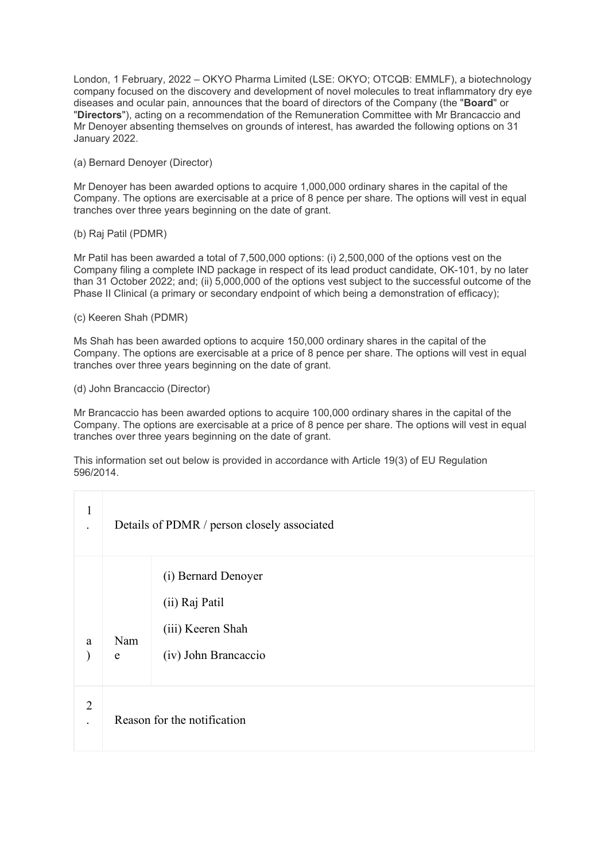London, 1 February, 2022 – OKYO Pharma Limited (LSE: OKYO; OTCQB: EMMLF), a biotechnology company focused on the discovery and development of novel molecules to treat inflammatory dry eye diseases and ocular pain, announces that the board of directors of the Company (the "**Board**" or "**Directors**"), acting on a recommendation of the Remuneration Committee with Mr Brancaccio and Mr Denoyer absenting themselves on grounds of interest, has awarded the following options on 31 January 2022.

(a) Bernard Denoyer (Director)

Mr Denoyer has been awarded options to acquire 1,000,000 ordinary shares in the capital of the Company. The options are exercisable at a price of 8 pence per share. The options will vest in equal tranches over three years beginning on the date of grant.

(b) Raj Patil (PDMR)

Mr Patil has been awarded a total of 7,500,000 options: (i) 2,500,000 of the options vest on the Company filing a complete IND package in respect of its lead product candidate, OK-101, by no later than 31 October 2022; and; (ii) 5,000,000 of the options vest subject to the successful outcome of the Phase II Clinical (a primary or secondary endpoint of which being a demonstration of efficacy);

### (c) Keeren Shah (PDMR)

Ms Shah has been awarded options to acquire 150,000 ordinary shares in the capital of the Company. The options are exercisable at a price of 8 pence per share. The options will vest in equal tranches over three years beginning on the date of grant.

### (d) John Brancaccio (Director)

Mr Brancaccio has been awarded options to acquire 100,000 ordinary shares in the capital of the Company. The options are exercisable at a price of 8 pence per share. The options will vest in equal tranches over three years beginning on the date of grant.

This information set out below is provided in accordance with Article 19(3) of EU Regulation 596/2014.

| $\mathbf{1}$   | Details of PDMR / person closely associated |                                                                                    |  |  |
|----------------|---------------------------------------------|------------------------------------------------------------------------------------|--|--|
| a              | Nam<br>e                                    | (i) Bernard Denoyer<br>(ii) Raj Patil<br>(iii) Keeren Shah<br>(iv) John Brancaccio |  |  |
| $\overline{2}$ | Reason for the notification                 |                                                                                    |  |  |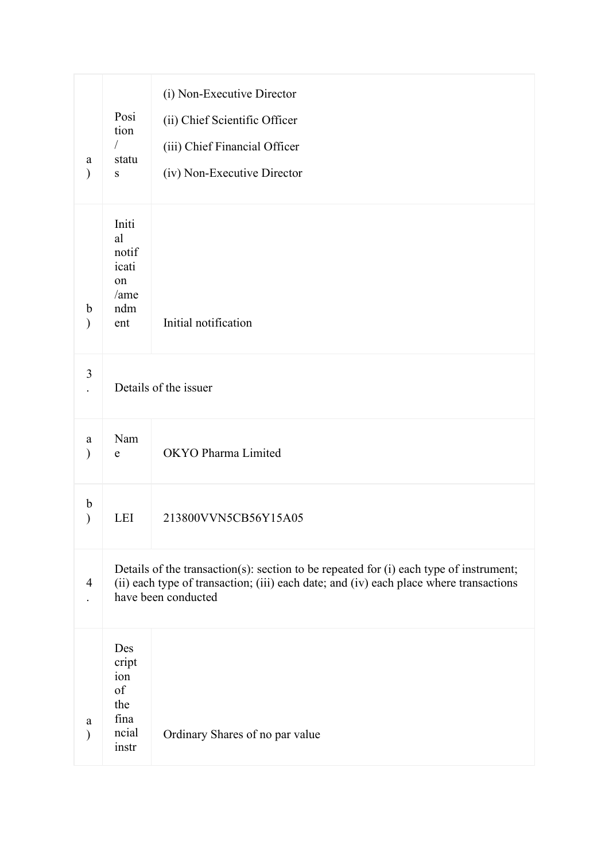| a<br>⟩             | Posi<br>tion<br>$\sqrt{2}$<br>statu<br>${\bf S}$                                                                                                                                                        | (i) Non-Executive Director<br>(ii) Chief Scientific Officer<br>(iii) Chief Financial Officer<br>(iv) Non-Executive Director |  |
|--------------------|---------------------------------------------------------------------------------------------------------------------------------------------------------------------------------------------------------|-----------------------------------------------------------------------------------------------------------------------------|--|
| b<br>$\mathcal{E}$ | Initi<br>al<br>notif<br>icati<br>on<br>/ame<br>ndm<br>ent                                                                                                                                               | Initial notification                                                                                                        |  |
| 3                  | Details of the issuer                                                                                                                                                                                   |                                                                                                                             |  |
| a<br>$\mathcal{E}$ | Nam<br>${\bf e}$                                                                                                                                                                                        | OKYO Pharma Limited                                                                                                         |  |
| b<br>$\mathcal{E}$ | <b>LEI</b>                                                                                                                                                                                              | 213800VVN5CB56Y15A05                                                                                                        |  |
| $\overline{4}$     | Details of the transaction(s): section to be repeated for (i) each type of instrument;<br>(ii) each type of transaction; (iii) each date; and (iv) each place where transactions<br>have been conducted |                                                                                                                             |  |
| a<br>⟩             | Des<br>cript<br>ion<br>of<br>the<br>fina<br>ncial<br>instr                                                                                                                                              | Ordinary Shares of no par value                                                                                             |  |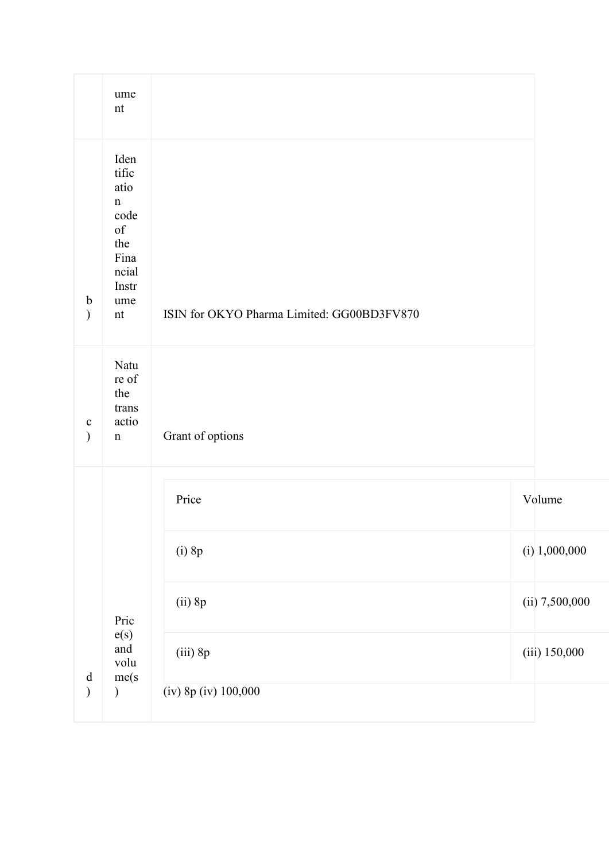|                                                                                                              | ume<br>$\mathop{\rm nt}\nolimits$                                                                                                                                                                |                                            |                  |
|--------------------------------------------------------------------------------------------------------------|--------------------------------------------------------------------------------------------------------------------------------------------------------------------------------------------------|--------------------------------------------|------------------|
| $\mathbf b$<br>$\mathcal{L}$                                                                                 | Iden<br>tific<br>atio<br>$\mathbf n$<br>code<br>$% \left( \left( \mathcal{A},\mathcal{A}\right) \right) =\left( \mathcal{A},\mathcal{A}\right)$ of<br>the<br>Fina<br>ncial<br>Instr<br>ume<br>nt | ISIN for OKYO Pharma Limited: GG00BD3FV870 |                  |
| $\mathbf{C}$<br>$\mathcal{L}$                                                                                | Natu<br>re of<br>the<br>trans<br>actio<br>$\mathbf n$                                                                                                                                            | Grant of options                           |                  |
|                                                                                                              |                                                                                                                                                                                                  | Price                                      | Volume           |
| $\mathrm{d}% \left\  \mathbf{r}^{\prime}\right\  _{A}\leq\mathrm{d}\left\  \mathbf{r}^{\prime}\right\  _{A}$ | Pric<br>e(s)<br>and<br>volu<br>me(s)                                                                                                                                                             | $(i)$ 8p                                   | $(i)$ 1,000,000  |
|                                                                                                              |                                                                                                                                                                                                  | $(ii)$ 8p                                  | $(ii)$ 7,500,000 |
|                                                                                                              |                                                                                                                                                                                                  | $(iii)$ 8 $p$                              | (iii) 150,000    |
| $\mathcal{L}$                                                                                                | $\mathcal{)}$                                                                                                                                                                                    | (iv) 8p (iv) 100,000                       |                  |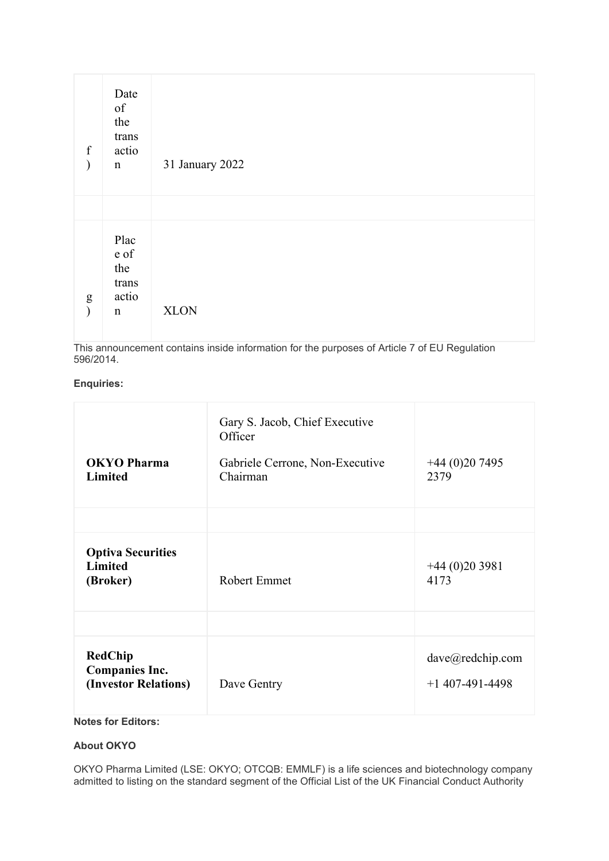| $\mathbf f$<br>$\mathcal{E}$ | Date<br>of<br>the<br>trans<br>actio<br>$\mathbf n$   | 31 January 2022 |
|------------------------------|------------------------------------------------------|-----------------|
| ${\bf g}$<br>$\mathcal{E}$   | Plac<br>e of<br>the<br>trans<br>actio<br>$\mathbf n$ | <b>XLON</b>     |

This announcement contains inside information for the purposes of Article 7 of EU Regulation 596/2014.

## **Enquiries:**

| <b>OKYO Pharma</b><br><b>Limited</b>                            | Gary S. Jacob, Chief Executive<br>Officer<br>Gabriele Cerrone, Non-Executive<br>Chairman | $+44(0)207495$<br>2379                |
|-----------------------------------------------------------------|------------------------------------------------------------------------------------------|---------------------------------------|
|                                                                 |                                                                                          |                                       |
| <b>Optiva Securities</b><br><b>Limited</b><br>(Broker)          | <b>Robert Emmet</b>                                                                      | $+44(0)203981$<br>4173                |
|                                                                 |                                                                                          |                                       |
| <b>RedChip</b><br><b>Companies Inc.</b><br>(Investor Relations) | Dave Gentry                                                                              | dave@redchip.com<br>$+1$ 407-491-4498 |

# **Notes for Editors:**

# **About OKYO**

OKYO Pharma Limited (LSE: OKYO; OTCQB: EMMLF) is a life sciences and biotechnology company admitted to listing on the standard segment of the Official List of the UK Financial Conduct Authority